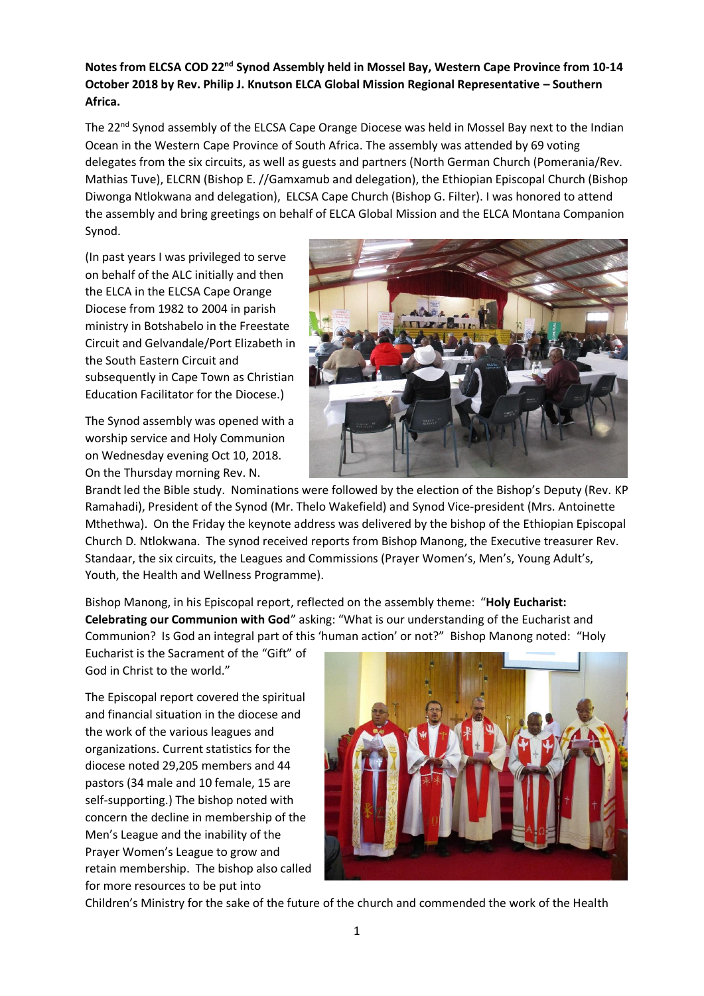## **Notes from ELCSA COD 22nd Synod Assembly held in Mossel Bay, Western Cape Province from 10-14 October 2018 by Rev. Philip J. Knutson ELCA Global Mission Regional Representative – Southern Africa.**

The 22<sup>nd</sup> Synod assembly of the ELCSA Cape Orange Diocese was held in Mossel Bay next to the Indian Ocean in the Western Cape Province of South Africa. The assembly was attended by 69 voting delegates from the six circuits, as well as guests and partners (North German Church (Pomerania/Rev. Mathias Tuve), ELCRN (Bishop E. //Gamxamub and delegation), the Ethiopian Episcopal Church (Bishop Diwonga Ntlokwana and delegation), ELCSA Cape Church (Bishop G. Filter). I was honored to attend the assembly and bring greetings on behalf of ELCA Global Mission and the ELCA Montana Companion Synod.

(In past years I was privileged to serve on behalf of the ALC initially and then the ELCA in the ELCSA Cape Orange Diocese from 1982 to 2004 in parish ministry in Botshabelo in the Freestate Circuit and Gelvandale/Port Elizabeth in the South Eastern Circuit and subsequently in Cape Town as Christian Education Facilitator for the Diocese.)

The Synod assembly was opened with a worship service and Holy Communion on Wednesday evening Oct 10, 2018. On the Thursday morning Rev. N.



Brandt led the Bible study. Nominations were followed by the election of the Bishop's Deputy (Rev. KP Ramahadi), President of the Synod (Mr. Thelo Wakefield) and Synod Vice-president (Mrs. Antoinette Mthethwa). On the Friday the keynote address was delivered by the bishop of the Ethiopian Episcopal Church D. Ntlokwana. The synod received reports from Bishop Manong, the Executive treasurer Rev. Standaar, the six circuits, the Leagues and Commissions (Prayer Women's, Men's, Young Adult's, Youth, the Health and Wellness Programme).

Bishop Manong, in his Episcopal report, reflected on the assembly theme: "**Holy Eucharist: Celebrating our Communion with God**" asking: "What is our understanding of the Eucharist and Communion? Is God an integral part of this 'human action' or not?" Bishop Manong noted: "Holy

Eucharist is the Sacrament of the "Gift" of God in Christ to the world."

The Episcopal report covered the spiritual and financial situation in the diocese and the work of the various leagues and organizations. Current statistics for the diocese noted 29,205 members and 44 pastors (34 male and 10 female, 15 are self-supporting.) The bishop noted with concern the decline in membership of the Men's League and the inability of the Prayer Women's League to grow and retain membership. The bishop also called for more resources to be put into



Children's Ministry for the sake of the future of the church and commended the work of the Health